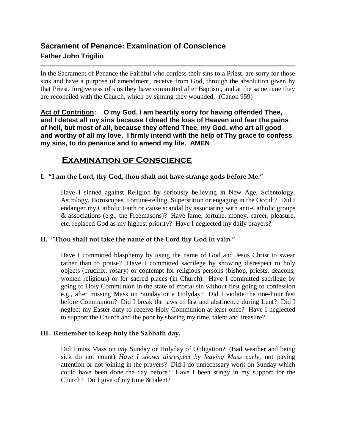# **Sacrament of Penance: Examination of Conscience Father John Trigilio**

In the Sacrament of Penance the Faithful who confess their sins to a Priest, are sorry for those sins and have a purpose of amendment, receive from God, through the absolution given by that Priest, forgiveness of sins they have committed after Baptism, and at the same time they are reconciled with the Church, which by sinning they wounded. (Canon 959)

**Act of Contrition: O my God, I am heartily sorry for having offended Thee, and I detest all my sins because I dread the loss of Heaven and fear the pains of hell, but most of all, because they offend Thee, my God, who art all good and worthy of all my love. I firmly intend with the help of Thy grace to confess my sins, to do penance and to amend my life. AMEN**

## **Examination of Conscience**

## **I. "I am the Lord, thy God, thou shalt not have strange gods before Me."**

Have I sinned against Religion by seriously believing in New Age, Scientology, Astrology, Horoscopes, Fortune-telling, Superstition or engaging in the Occult? Did I endanger my Catholic Faith or cause scandal by associating with anti-Catholic groups & associations (e.g., the Freemasons)? Have fame, fortune, money, career, pleasure, etc. replaced God as my highest priority? Have I neglected my daily prayers?

## **II. "Thou shalt not take the name of the Lord thy God in vain."**

Have I committed blasphemy by using the name of God and Jesus Christ to swear rather than to praise? Have I committed sacrilege by showing disrespect to holy objects (crucifix, rosary) or contempt for religious persons (bishop, priests, deacons, women religious) or for sacred places (in Church). Have I committed sacrilege by going to Holy Communion in the state of mortal sin without first going to confession e.g., after missing Mass on Sunday or a Holyday? Did I violate the one-hour fast before Communion? Did I break the laws of fast and abstinence during Lent? Did I neglect my Easter duty to receive Holy Communion at least once? Have I neglected to support the Church and the poor by sharing my time, talent and treasure?

## **III. Remember to keep holy the Sabbath day.**

Did I miss Mass on *any* Sunday or Holyday of Obligation? (Bad weather and being sick do not count) *Have I shown disrespect by leaving Mass early*, not paying attention or not joining in the prayers? Did I do unnecessary work on Sunday which could have been done the day before? Have I been stingy in my support for the Church? Do I give of my time & talent?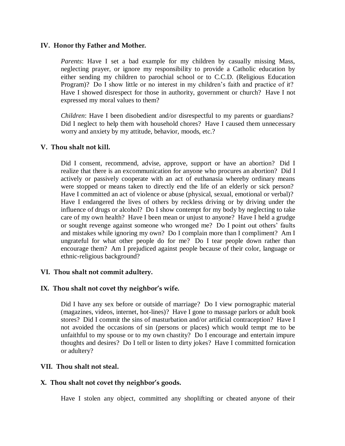#### **IV. Honor thy Father and Mother.**

*Parents*: Have I set a bad example for my children by casually missing Mass, neglecting prayer, or ignore my responsibility to provide a Catholic education by either sending my children to parochial school or to C.C.D. (Religious Education Program)? Do I show little or no interest in my children's faith and practice of it? Have I showed disrespect for those in authority, government or church? Have I not expressed my moral values to them?

*Children*: Have I been disobedient and/or disrespectful to my parents or guardians? Did I neglect to help them with household chores? Have I caused them unnecessary worry and anxiety by my attitude, behavior, moods, etc.?

#### **V. Thou shalt not kill.**

Did I consent, recommend, advise, approve, support or have an abortion? Did I realize that there is an excommunication for anyone who procures an abortion? Did I actively or passively cooperate with an act of euthanasia whereby ordinary means were stopped or means taken to directly end the life of an elderly or sick person? Have I committed an act of violence or abuse (physical, sexual, emotional or verbal)? Have I endangered the lives of others by reckless driving or by driving under the influence of drugs or alcohol? Do I show contempt for my body by neglecting to take care of my own health? Have I been mean or unjust to anyone? Have I held a grudge or sought revenge against someone who wronged me? Do I point out others' faults and mistakes while ignoring my own? Do I complain more than I compliment? Am I ungrateful for what other people do for me? Do I tear people down rather than encourage them? Am I prejudiced against people because of their color, language or ethnic-religious background?

## **VI. Thou shalt not commit adultery.**

## **IX. Thou shalt not covet thy neighbor's wife.**

Did I have any sex before or outside of marriage? Do I view pornographic material (magazines, videos, internet, hot-lines)? Have I gone to massage parlors or adult book stores? Did I commit the sins of masturbation and/or artificial contraception? Have I not avoided the occasions of sin (persons or places) which would tempt me to be unfaithful to my spouse or to my own chastity? Do I encourage and entertain impure thoughts and desires? Do I tell or listen to dirty jokes? Have I committed fornication or adultery?

#### **VII. Thou shalt not steal.**

## **X. Thou shalt not covet thy neighbor's goods.**

Have I stolen any object, committed any shoplifting or cheated anyone of their